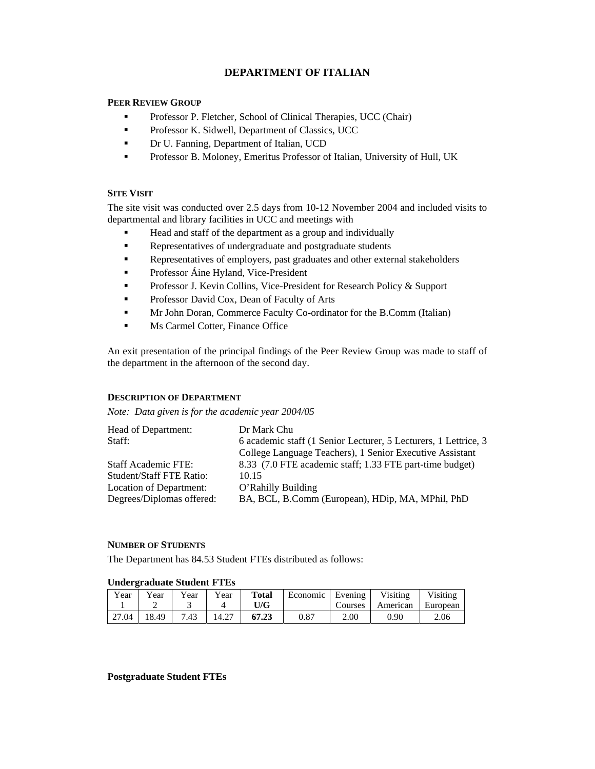# **DEPARTMENT OF ITALIAN**

### **PEER REVIEW GROUP**

- **Professor P. Fletcher, School of Clinical Therapies, UCC (Chair)**
- **Professor K. Sidwell, Department of Classics, UCC**
- **Dr U. Fanning, Department of Italian, UCD**
- **Professor B. Moloney, Emeritus Professor of Italian, University of Hull, UK**

## **SITE VISIT**

The site visit was conducted over 2.5 days from 10-12 November 2004 and included visits to departmental and library facilities in UCC and meetings with

- Head and staff of the department as a group and individually
- Representatives of undergraduate and postgraduate students
- Representatives of employers, past graduates and other external stakeholders
- Professor Áine Hyland, Vice-President
- **Professor J. Kevin Collins, Vice-President for Research Policy & Support**
- **Professor David Cox, Dean of Faculty of Arts**
- Mr John Doran, Commerce Faculty Co-ordinator for the B.Comm (Italian)
- **Ms Carmel Cotter, Finance Office**

An exit presentation of the principal findings of the Peer Review Group was made to staff of the department in the afternoon of the second day.

### **DESCRIPTION OF DEPARTMENT**

*Note: Data given is for the academic year 2004/05* 

| Head of Department:<br>Staff: | Dr Mark Chu<br>6 academic staff (1 Senior Lecturer, 5 Lecturers, 1 Lettrice, 3 |
|-------------------------------|--------------------------------------------------------------------------------|
|                               | College Language Teachers), 1 Senior Executive Assistant                       |
| <b>Staff Academic FTE:</b>    | 8.33 (7.0 FTE academic staff; 1.33 FTE part-time budget)                       |
| Student/Staff FTE Ratio:      | 10.15                                                                          |
| Location of Department:       | O'Rahilly Building                                                             |
| Degrees/Diplomas offered:     | BA, BCL, B.Comm (European), HDip, MA, MPhil, PhD                               |

# **NUMBER OF STUDENTS**

The Department has 84.53 Student FTEs distributed as follows:

### **Undergraduate Student FTEs**

| $v_{\text{ear}}$ | $v_{\text{ear}}$ | Year | Year  | <b>Total</b><br>U/G | Economic | Evening<br>Courses | Visiting<br>American | Visiting<br>European |
|------------------|------------------|------|-------|---------------------|----------|--------------------|----------------------|----------------------|
| 27.04            | 18.49            | 7.43 | 14.27 | 67.23               | 0.87     | 2.00               | 0.90                 | 2.06                 |

**Postgraduate Student FTEs**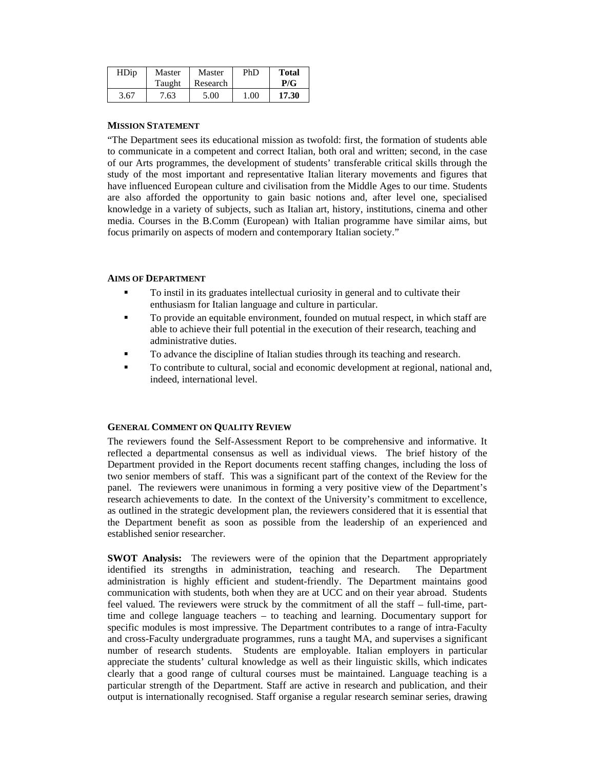| HDip | Master | Master   | PhD  | <b>Total</b> |
|------|--------|----------|------|--------------|
|      | Taught | Research |      | P/G          |
| 3.67 | 7.63   | 5.00     | 1.00 | 17.30        |

#### **MISSION STATEMENT**

"The Department sees its educational mission as twofold: first, the formation of students able to communicate in a competent and correct Italian, both oral and written; second, in the case of our Arts programmes, the development of students' transferable critical skills through the study of the most important and representative Italian literary movements and figures that have influenced European culture and civilisation from the Middle Ages to our time. Students are also afforded the opportunity to gain basic notions and, after level one, specialised knowledge in a variety of subjects, such as Italian art, history, institutions, cinema and other media. Courses in the B.Comm (European) with Italian programme have similar aims, but focus primarily on aspects of modern and contemporary Italian society."

#### **AIMS OF DEPARTMENT**

- To instil in its graduates intellectual curiosity in general and to cultivate their enthusiasm for Italian language and culture in particular.
- To provide an equitable environment, founded on mutual respect, in which staff are able to achieve their full potential in the execution of their research, teaching and administrative duties.
- To advance the discipline of Italian studies through its teaching and research.
- To contribute to cultural, social and economic development at regional, national and, indeed, international level.

#### **GENERAL COMMENT ON QUALITY REVIEW**

The reviewers found the Self-Assessment Report to be comprehensive and informative. It reflected a departmental consensus as well as individual views. The brief history of the Department provided in the Report documents recent staffing changes, including the loss of two senior members of staff. This was a significant part of the context of the Review for the panel. The reviewers were unanimous in forming a very positive view of the Department's research achievements to date. In the context of the University's commitment to excellence, as outlined in the strategic development plan, the reviewers considered that it is essential that the Department benefit as soon as possible from the leadership of an experienced and established senior researcher.

**SWOT Analysis:** The reviewers were of the opinion that the Department appropriately identified its strengths in administration, teaching and research. The Department administration is highly efficient and student-friendly. The Department maintains good communication with students, both when they are at UCC and on their year abroad. Students feel valued. The reviewers were struck by the commitment of all the staff – full-time, parttime and college language teachers – to teaching and learning. Documentary support for specific modules is most impressive. The Department contributes to a range of intra-Faculty and cross-Faculty undergraduate programmes, runs a taught MA, and supervises a significant number of research students. Students are employable. Italian employers in particular appreciate the students' cultural knowledge as well as their linguistic skills, which indicates clearly that a good range of cultural courses must be maintained. Language teaching is a particular strength of the Department. Staff are active in research and publication, and their output is internationally recognised. Staff organise a regular research seminar series, drawing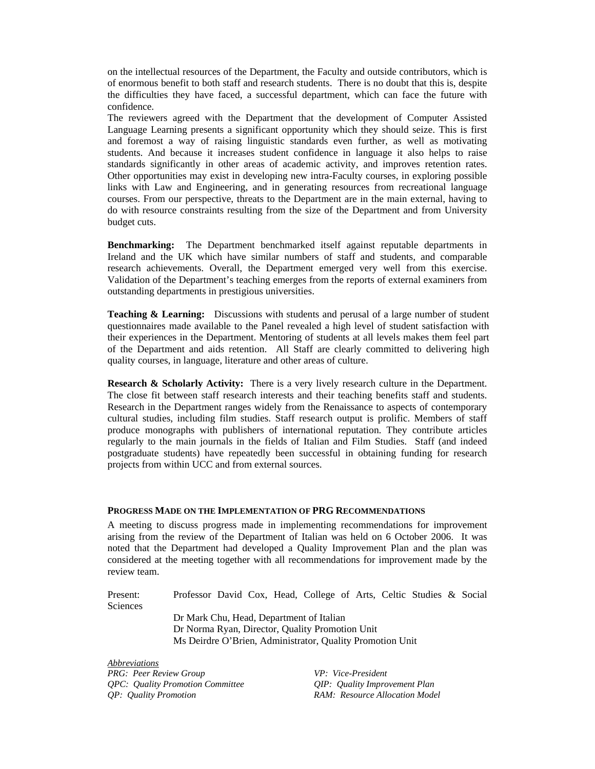on the intellectual resources of the Department, the Faculty and outside contributors, which is of enormous benefit to both staff and research students. There is no doubt that this is, despite the difficulties they have faced, a successful department, which can face the future with confidence.

The reviewers agreed with the Department that the development of Computer Assisted Language Learning presents a significant opportunity which they should seize. This is first and foremost a way of raising linguistic standards even further, as well as motivating students. And because it increases student confidence in language it also helps to raise standards significantly in other areas of academic activity, and improves retention rates. Other opportunities may exist in developing new intra-Faculty courses, in exploring possible links with Law and Engineering, and in generating resources from recreational language courses. From our perspective, threats to the Department are in the main external, having to do with resource constraints resulting from the size of the Department and from University budget cuts.

**Benchmarking:** The Department benchmarked itself against reputable departments in Ireland and the UK which have similar numbers of staff and students, and comparable research achievements. Overall, the Department emerged very well from this exercise. Validation of the Department's teaching emerges from the reports of external examiners from outstanding departments in prestigious universities.

**Teaching & Learning:** Discussions with students and perusal of a large number of student questionnaires made available to the Panel revealed a high level of student satisfaction with their experiences in the Department. Mentoring of students at all levels makes them feel part of the Department and aids retention. All Staff are clearly committed to delivering high quality courses, in language, literature and other areas of culture.

**Research & Scholarly Activity:** There is a very lively research culture in the Department. The close fit between staff research interests and their teaching benefits staff and students. Research in the Department ranges widely from the Renaissance to aspects of contemporary cultural studies, including film studies. Staff research output is prolific. Members of staff produce monographs with publishers of international reputation. They contribute articles regularly to the main journals in the fields of Italian and Film Studies. Staff (and indeed postgraduate students) have repeatedly been successful in obtaining funding for research projects from within UCC and from external sources.

#### **PROGRESS MADE ON THE IMPLEMENTATION OF PRG RECOMMENDATIONS**

A meeting to discuss progress made in implementing recommendations for improvement arising from the review of the Department of Italian was held on 6 October 2006. It was noted that the Department had developed a Quality Improvement Plan and the plan was considered at the meeting together with all recommendations for improvement made by the review team.

Present: Professor David Cox, Head, College of Arts, Celtic Studies & Social **Sciences**  Dr Mark Chu, Head, Department of Italian Dr Norma Ryan, Director, Quality Promotion Unit Ms Deirdre O'Brien, Administrator, Quality Promotion Unit

*Abbreviations PRG: Peer Review Group VP: Vice-President QPC: Quality Promotion Committee QIP: Quality Improvement Plan QP: Quality Promotion RAM: Resource Allocation Model*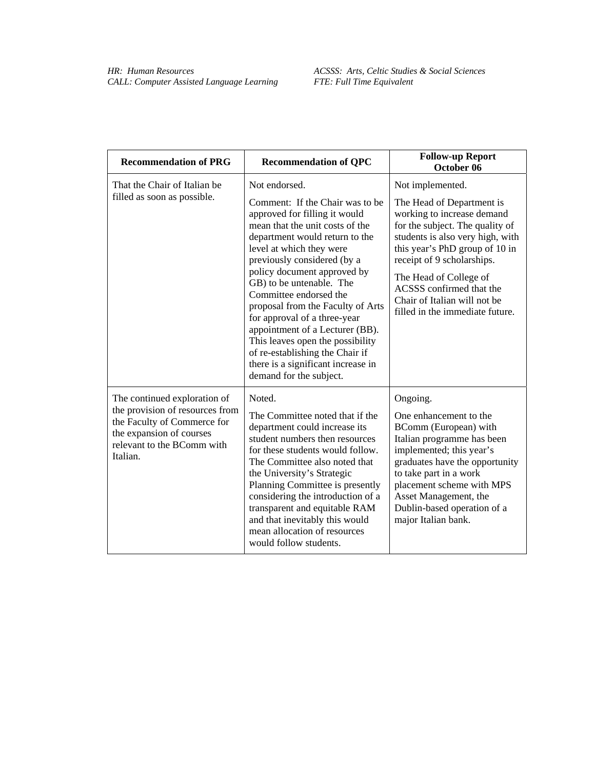| <b>Recommendation of PRG</b>                                                                                                                                         | <b>Recommendation of QPC</b>                                                                                                                                                                                                                                                                                                                                                                                                                                                                                                          | <b>Follow-up Report</b><br>October 06                                                                                                                                                                                                                                                                                   |
|----------------------------------------------------------------------------------------------------------------------------------------------------------------------|---------------------------------------------------------------------------------------------------------------------------------------------------------------------------------------------------------------------------------------------------------------------------------------------------------------------------------------------------------------------------------------------------------------------------------------------------------------------------------------------------------------------------------------|-------------------------------------------------------------------------------------------------------------------------------------------------------------------------------------------------------------------------------------------------------------------------------------------------------------------------|
| That the Chair of Italian be                                                                                                                                         | Not endorsed.                                                                                                                                                                                                                                                                                                                                                                                                                                                                                                                         | Not implemented.                                                                                                                                                                                                                                                                                                        |
| filled as soon as possible.                                                                                                                                          | Comment: If the Chair was to be<br>approved for filling it would<br>mean that the unit costs of the<br>department would return to the<br>level at which they were<br>previously considered (by a<br>policy document approved by<br>GB) to be untenable. The<br>Committee endorsed the<br>proposal from the Faculty of Arts<br>for approval of a three-year<br>appointment of a Lecturer (BB).<br>This leaves open the possibility<br>of re-establishing the Chair if<br>there is a significant increase in<br>demand for the subject. | The Head of Department is<br>working to increase demand<br>for the subject. The quality of<br>students is also very high, with<br>this year's PhD group of 10 in<br>receipt of 9 scholarships.<br>The Head of College of<br>ACSSS confirmed that the<br>Chair of Italian will not be<br>filled in the immediate future. |
| The continued exploration of<br>the provision of resources from<br>the Faculty of Commerce for<br>the expansion of courses<br>relevant to the BComm with<br>Italian. | Noted.<br>The Committee noted that if the<br>department could increase its<br>student numbers then resources<br>for these students would follow.<br>The Committee also noted that<br>the University's Strategic<br>Planning Committee is presently<br>considering the introduction of a<br>transparent and equitable RAM<br>and that inevitably this would<br>mean allocation of resources<br>would follow students.                                                                                                                  | Ongoing.<br>One enhancement to the<br>BComm (European) with<br>Italian programme has been<br>implemented; this year's<br>graduates have the opportunity<br>to take part in a work<br>placement scheme with MPS<br>Asset Management, the<br>Dublin-based operation of a<br>major Italian bank.                           |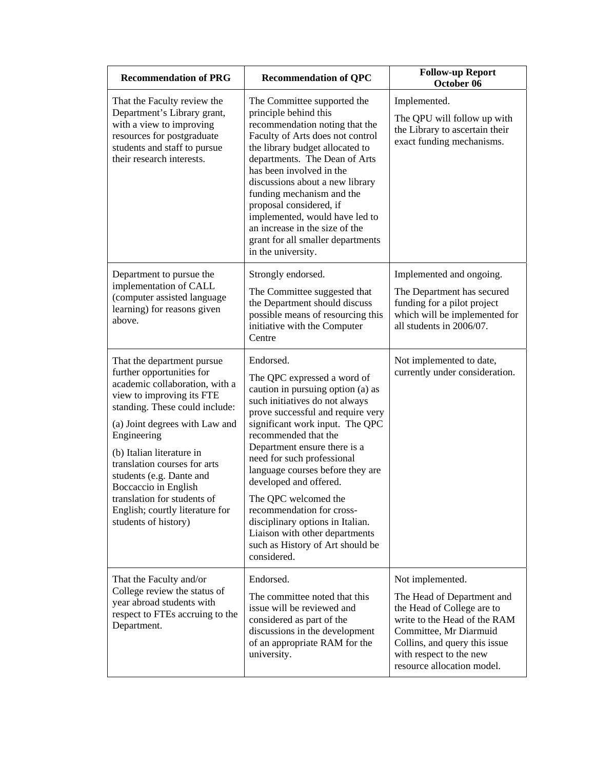| <b>Recommendation of PRG</b>                                                                                                                                                                                                                                                                                                                                                                                         | <b>Recommendation of QPC</b>                                                                                                                                                                                                                                                                                                                                                                                                                                                                                              | <b>Follow-up Report</b><br>October 06                                                                                                                                                                                            |
|----------------------------------------------------------------------------------------------------------------------------------------------------------------------------------------------------------------------------------------------------------------------------------------------------------------------------------------------------------------------------------------------------------------------|---------------------------------------------------------------------------------------------------------------------------------------------------------------------------------------------------------------------------------------------------------------------------------------------------------------------------------------------------------------------------------------------------------------------------------------------------------------------------------------------------------------------------|----------------------------------------------------------------------------------------------------------------------------------------------------------------------------------------------------------------------------------|
| That the Faculty review the<br>Department's Library grant,<br>with a view to improving<br>resources for postgraduate<br>students and staff to pursue<br>their research interests.                                                                                                                                                                                                                                    | The Committee supported the<br>principle behind this<br>recommendation noting that the<br>Faculty of Arts does not control<br>the library budget allocated to<br>departments. The Dean of Arts<br>has been involved in the<br>discussions about a new library<br>funding mechanism and the<br>proposal considered, if<br>implemented, would have led to<br>an increase in the size of the<br>grant for all smaller departments<br>in the university.                                                                      | Implemented.<br>The QPU will follow up with<br>the Library to ascertain their<br>exact funding mechanisms.                                                                                                                       |
| Department to pursue the<br>implementation of CALL<br>(computer assisted language<br>learning) for reasons given<br>above.                                                                                                                                                                                                                                                                                           | Strongly endorsed.<br>The Committee suggested that<br>the Department should discuss<br>possible means of resourcing this<br>initiative with the Computer<br>Centre                                                                                                                                                                                                                                                                                                                                                        | Implemented and ongoing.<br>The Department has secured<br>funding for a pilot project<br>which will be implemented for<br>all students in 2006/07.                                                                               |
| That the department pursue<br>further opportunities for<br>academic collaboration, with a<br>view to improving its FTE<br>standing. These could include:<br>(a) Joint degrees with Law and<br>Engineering<br>(b) Italian literature in<br>translation courses for arts<br>students (e.g. Dante and<br>Boccaccio in English<br>translation for students of<br>English; courtly literature for<br>students of history) | Endorsed.<br>The QPC expressed a word of<br>caution in pursuing option (a) as<br>such initiatives do not always<br>prove successful and require very<br>significant work input. The QPC<br>recommended that the<br>Department ensure there is a<br>need for such professional<br>language courses before they are<br>developed and offered.<br>The QPC welcomed the<br>recommendation for cross-<br>disciplinary options in Italian.<br>Liaison with other departments<br>such as History of Art should be<br>considered. | Not implemented to date,<br>currently under consideration.                                                                                                                                                                       |
| That the Faculty and/or<br>College review the status of<br>year abroad students with<br>respect to FTEs accruing to the<br>Department.                                                                                                                                                                                                                                                                               | Endorsed.<br>The committee noted that this<br>issue will be reviewed and<br>considered as part of the<br>discussions in the development<br>of an appropriate RAM for the<br>university.                                                                                                                                                                                                                                                                                                                                   | Not implemented.<br>The Head of Department and<br>the Head of College are to<br>write to the Head of the RAM<br>Committee, Mr Diarmuid<br>Collins, and query this issue<br>with respect to the new<br>resource allocation model. |